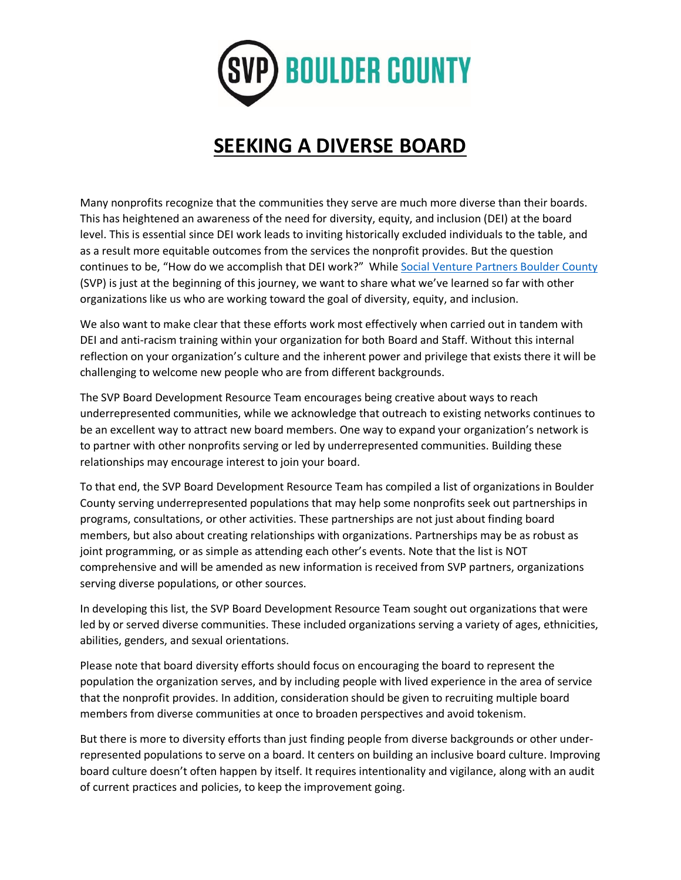

## **SEEKING A DIVERSE BOARD**

Many nonprofits recognize that the communities they serve are much more diverse than their boards. This has heightened an awareness of the need for diversity, equity, and inclusion (DEI) at the board level. This is essential since DEI work leads to inviting historically excluded individuals to the table, and as a result more equitable outcomes from the services the nonprofit provides. But the question continues to be, "How do we accomplish that DEI work?" While [Social Venture Partners Boulder County](https://www.socialventurepartners.org/boulder-county/) (SVP) is just at the beginning of this journey, we want to share what we've learned so far with other organizations like us who are working toward the goal of diversity, equity, and inclusion.

We also want to make clear that these efforts work most effectively when carried out in tandem with DEI and anti-racism training within your organization for both Board and Staff. Without this internal reflection on your organization's culture and the inherent power and privilege that exists there it will be challenging to welcome new people who are from different backgrounds.

The SVP Board Development Resource Team encourages being creative about ways to reach underrepresented communities, while we acknowledge that outreach to existing networks continues to be an excellent way to attract new board members. One way to expand your organization's network is to partner with other nonprofits serving or led by underrepresented communities. Building these relationships may encourage interest to join your board.

To that end, the SVP Board Development Resource Team has compiled a list of organizations in Boulder County serving underrepresented populations that may help some nonprofits seek out partnerships in programs, consultations, or other activities. These partnerships are not just about finding board members, but also about creating relationships with organizations. Partnerships may be as robust as joint programming, or as simple as attending each other's events. Note that the list is NOT comprehensive and will be amended as new information is received from SVP partners, organizations serving diverse populations, or other sources.

In developing this list, the SVP Board Development Resource Team sought out organizations that were led by or served diverse communities. These included organizations serving a variety of ages, ethnicities, abilities, genders, and sexual orientations.

Please note that board diversity efforts should focus on encouraging the board to represent the population the organization serves, and by including people with lived experience in the area of service that the nonprofit provides. In addition, consideration should be given to recruiting multiple board members from diverse communities at once to broaden perspectives and avoid tokenism.

But there is more to diversity efforts than just finding people from diverse backgrounds or other underrepresented populations to serve on a board. It centers on building an inclusive board culture. Improving board culture doesn't often happen by itself. It requires intentionality and vigilance, along with an audit of current practices and policies, to keep the improvement going.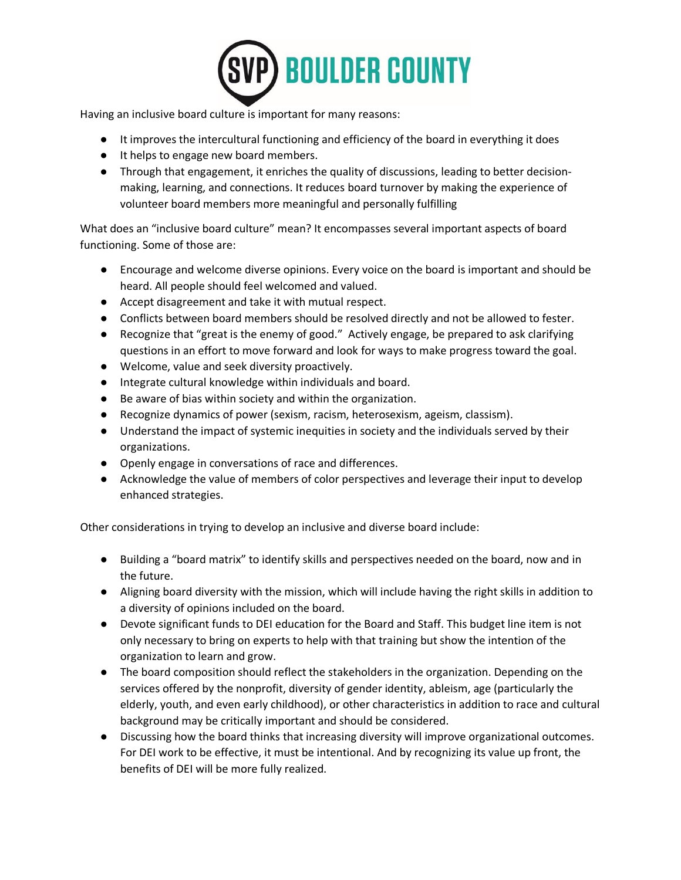

Having an inclusive board culture is important for many reasons:

- It improves the intercultural functioning and efficiency of the board in everything it does
- It helps to engage new board members.
- Through that engagement, it enriches the quality of discussions, leading to better decisionmaking, learning, and connections. It reduces board turnover by making the experience of volunteer board members more meaningful and personally fulfilling

What does an "inclusive board culture" mean? It encompasses several important aspects of board functioning. Some of those are:

- Encourage and welcome diverse opinions. Every voice on the board is important and should be heard. All people should feel welcomed and valued.
- Accept disagreement and take it with mutual respect.
- Conflicts between board members should be resolved directly and not be allowed to fester.
- Recognize that "great is the enemy of good." Actively engage, be prepared to ask clarifying questions in an effort to move forward and look for ways to make progress toward the goal.
- Welcome, value and seek diversity proactively.
- Integrate cultural knowledge within individuals and board.
- Be aware of bias within society and within the organization.
- Recognize dynamics of power (sexism, racism, heterosexism, ageism, classism).
- Understand the impact of systemic inequities in society and the individuals served by their organizations.
- Openly engage in conversations of race and differences.
- Acknowledge the value of members of color perspectives and leverage their input to develop enhanced strategies.

Other considerations in trying to develop an inclusive and diverse board include:

- Building a "board matrix" to identify skills and perspectives needed on the board, now and in the future.
- Aligning board diversity with the mission, which will include having the right skills in addition to a diversity of opinions included on the board.
- Devote significant funds to DEI education for the Board and Staff. This budget line item is not only necessary to bring on experts to help with that training but show the intention of the organization to learn and grow.
- The board composition should reflect the stakeholders in the organization. Depending on the services offered by the nonprofit, diversity of gender identity, ableism, age (particularly the elderly, youth, and even early childhood), or other characteristics in addition to race and cultural background may be critically important and should be considered.
- Discussing how the board thinks that increasing diversity will improve organizational outcomes. For DEI work to be effective, it must be intentional. And by recognizing its value up front, the benefits of DEI will be more fully realized.